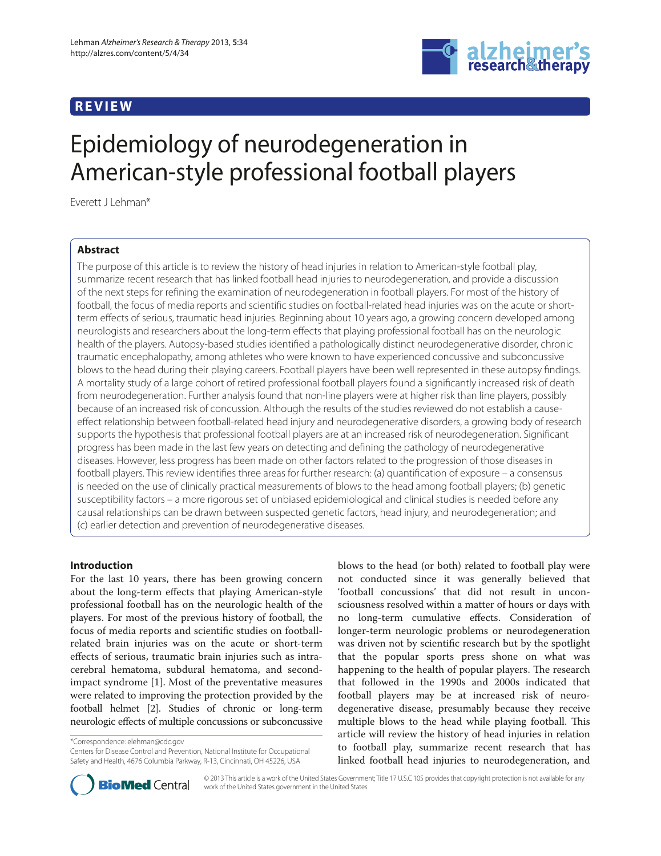# **REVIEW**



# Epidemiology of neurodegeneration in American-style professional football players

Fverett I Lehman\*

# **Abstract**

The purpose of this article is to review the history of head injuries in relation to American-style football play, summarize recent research that has linked football head injuries to neurodegeneration, and provide a discussion of the next steps for refining the examination of neurodegeneration in football players. For most of the history of football, the focus of media reports and scientific studies on football-related head injuries was on the acute or shortterm effects of serious, traumatic head injuries. Beginning about 10 years ago, a growing concern developed among neurologists and researchers about the long-term effects that playing professional football has on the neurologic health of the players. Autopsy-based studies identified a pathologically distinct neurodegenerative disorder, chronic traumatic encephalopathy, among athletes who were known to have experienced concussive and subconcussive blows to the head during their playing careers. Football players have been well represented in these autopsy findings. A mortality study of a large cohort of retired professional football players found a significantly increased risk of death from neurodegeneration. Further analysis found that non-line players were at higher risk than line players, possibly because of an increased risk of concussion. Although the results of the studies reviewed do not establish a causeeffect relationship between football-related head injury and neurodegenerative disorders, a growing body of research supports the hypothesis that professional football players are at an increased risk of neurodegeneration. Significant progress has been made in the last few years on detecting and defining the pathology of neurodegenerative diseases. However, less progress has been made on other factors related to the progression of those diseases in football players. This review identifies three areas for further research: (a) quantification of exposure – a consensus is needed on the use of clinically practical measurements of blows to the head among football players; (b) genetic susceptibility factors – a more rigorous set of unbiased epidemiological and clinical studies is needed before any causal relationships can be drawn between suspected genetic factors, head injury, and neurodegeneration; and (c) earlier detection and prevention of neurodegenerative diseases.

#### **Introduction**

For the last 10 years, there has been growing concern about the long-term effects that playing American-style professional football has on the neurologic health of the players. For most of the previous history of football, the focus of media reports and scientific studies on footballrelated brain injuries was on the acute or short-term effects of serious, traumatic brain injuries such as intracerebral hematoma, subdural hematoma, and secondimpact syndrome [1]. Most of the preventative measures were related to improving the protection provided by the football helmet [2]. Studies of chronic or long-term neurologic effects of multiple concussions or subconcussive

\*Correspondence: elehman@cdc.gov

Centers for Disease Control and Prevention, National Institute for Occupational Safety and Health, 4676 Columbia Parkway, R-13, Cincinnati, OH 45226, USA

blows to the head (or both) related to football play were not conducted since it was generally believed that 'football concussions' that did not result in unconsciousness resolved within a matter of hours or days with no long-term cumulative effects. Consideration of longer-term neurologic problems or neurodegeneration was driven not by scientific research but by the spotlight that the popular sports press shone on what was happening to the health of popular players. The research that followed in the 1990s and 2000s indicated that football players may be at increased risk of neurodegenerative disease, presumably because they receive multiple blows to the head while playing football. This article will review the history of head injuries in relation to football play, summarize recent research that has linked football head injuries to neurodegeneration, and



© 2013 This article is a work of the United States Government; Title 17 U.S.C 105 provides that copyright protection is not available for any work of the United States government in the United States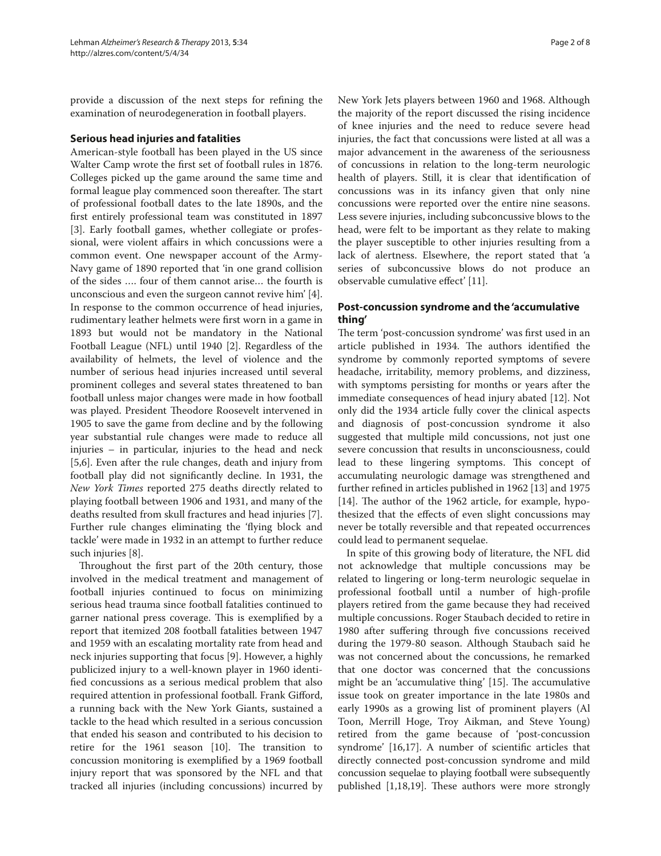provide a discussion of the next steps for refining the examination of neurodegeneration in football players.

#### **Serious head injuries and fatalities**

American-style football has been played in the US since Walter Camp wrote the first set of football rules in 1876. Colleges picked up the game around the same time and formal league play commenced soon thereafter. The start of professional football dates to the late 1890s, and the first entirely professional team was constituted in 1897 [3]. Early football games, whether collegiate or professional, were violent affairs in which concussions were a common event. One newspaper account of the Army-Navy game of 1890 reported that 'in one grand collision of the sides …. four of them cannot arise… the fourth is unconscious and even the surgeon cannot revive him' [4]. In response to the common occurrence of head injuries, rudimentary leather helmets were first worn in a game in 1893 but would not be mandatory in the National Football League (NFL) until 1940 [2]. Regardless of the availability of helmets, the level of violence and the number of serious head injuries increased until several prominent colleges and several states threatened to ban football unless major changes were made in how football was played. President Theodore Roosevelt intervened in 1905 to save the game from decline and by the following year substantial rule changes were made to reduce all injuries – in particular, injuries to the head and neck [5,6]. Even after the rule changes, death and injury from football play did not significantly decline. In 1931, the *New York Times* reported 275 deaths directly related to playing football between 1906 and 1931, and many of the deaths resulted from skull fractures and head injuries [7]. Further rule changes eliminating the 'flying block and tackle' were made in 1932 in an attempt to further reduce such injuries [8].

Throughout the first part of the 20th century, those involved in the medical treatment and management of football injuries continued to focus on minimizing serious head trauma since football fatalities continued to garner national press coverage. This is exemplified by a report that itemized 208 football fatalities between 1947 and 1959 with an escalating mortality rate from head and neck injuries supporting that focus [9]. However, a highly publicized injury to a well-known player in 1960 identified concussions as a serious medical problem that also required attention in professional football. Frank Gifford, a running back with the New York Giants, sustained a tackle to the head which resulted in a serious concussion that ended his season and contributed to his decision to retire for the 1961 season [10]. The transition to concussion monitoring is exemplified by a 1969 football injury report that was sponsored by the NFL and that tracked all injuries (including concussions) incurred by New York Jets players between 1960 and 1968. Although the majority of the report discussed the rising incidence of knee injuries and the need to reduce severe head injuries, the fact that concussions were listed at all was a major advancement in the awareness of the seriousness of concussions in relation to the long-term neurologic health of players. Still, it is clear that identification of concussions was in its infancy given that only nine concussions were reported over the entire nine seasons. Less severe injuries, including subconcussive blows to the head, were felt to be important as they relate to making the player susceptible to other injuries resulting from a lack of alertness. Elsewhere, the report stated that 'a series of subconcussive blows do not produce an observable cumulative effect' [11].

## **Post-concussion syndrome and the 'accumulative thing'**

The term 'post-concussion syndrome' was first used in an article published in 1934. The authors identified the syndrome by commonly reported symptoms of severe headache, irritability, memory problems, and dizziness, with symptoms persisting for months or years after the immediate consequences of head injury abated [12]. Not only did the 1934 article fully cover the clinical aspects and diagnosis of post-concussion syndrome it also suggested that multiple mild concussions, not just one severe concussion that results in unconsciousness, could lead to these lingering symptoms. This concept of accumulating neurologic damage was strengthened and further refined in articles published in 1962 [13] and 1975 [14]. The author of the  $1962$  article, for example, hypothe sized that the effects of even slight concussions may never be totally reversible and that repeated occurrences could lead to permanent sequelae.

In spite of this growing body of literature, the NFL did not acknowledge that multiple concussions may be related to lingering or long-term neurologic sequelae in professional football until a number of high-profile players retired from the game because they had received multiple concussions. Roger Staubach decided to retire in 1980 after suffering through five concussions received during the 1979-80 season. Although Staubach said he was not concerned about the concussions, he remarked that one doctor was concerned that the concussions might be an 'accumulative thing' [15]. The accumulative issue took on greater importance in the late 1980s and early 1990s as a growing list of prominent players (Al Toon, Merrill Hoge, Troy Aikman, and Steve Young) retired from the game because of 'post-concussion syndrome'  $[16,17]$ . A number of scientific articles that directly connected post-concussion syndrome and mild concussion sequelae to playing football were subsequently published [1,18,19]. These authors were more strongly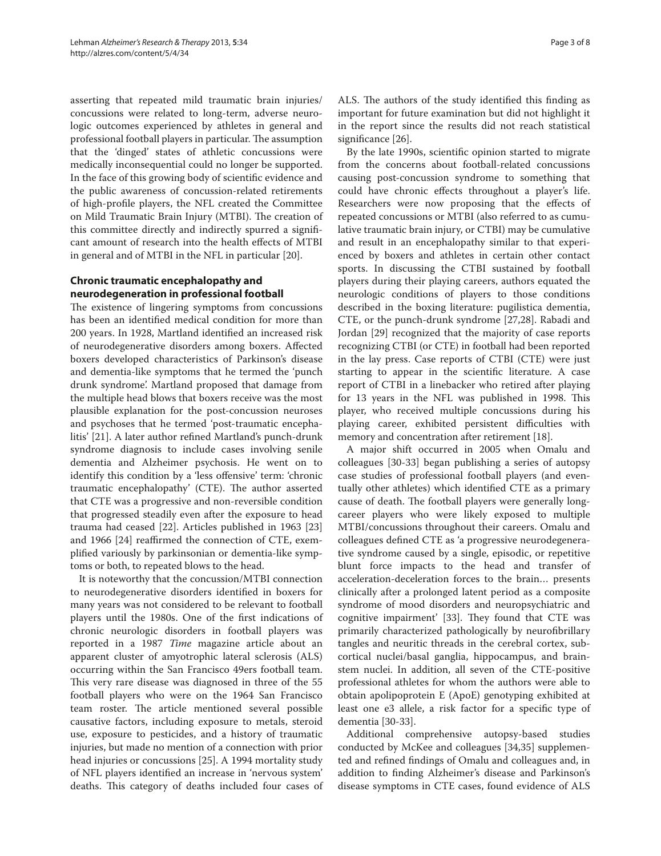asserting that repeated mild traumatic brain injuries/ concussions were related to long-term, adverse neurologic outcomes experienced by athletes in general and professional football players in particular. The assumption that the 'dinged' states of athletic concussions were medically inconsequential could no longer be supported. In the face of this growing body of scientific evidence and the public awareness of concussion-related retirements of high-profile players, the NFL created the Committee on Mild Traumatic Brain Injury (MTBI). The creation of this committee directly and indirectly spurred a significant amount of research into the health effects of MTBI in general and of MTBI in the NFL in particular [20].

# **Chronic traumatic encephalopathy and neurodegeneration in professional football**

The existence of lingering symptoms from concussions has been an identified medical condition for more than 200 years. In 1928, Martland identified an increased risk of neurodegenerative disorders among boxers. Affected boxers developed characteristics of Parkinson's disease and dementia-like symptoms that he termed the 'punch drunk syndrome'. Martland proposed that damage from the multiple head blows that boxers receive was the most plausible explanation for the post-concussion neuroses and psychoses that he termed 'post-traumatic encephalitis' [21]. A later author refined Martland's punch-drunk syndrome diagnosis to include cases involving senile dementia and Alzheimer psychosis. He went on to identify this condition by a 'less offensive' term: 'chronic traumatic encephalopathy' (CTE). The author asserted that CTE was a progressive and non-reversible condition that progressed steadily even after the exposure to head trauma had ceased [22]. Articles published in 1963 [23] and 1966 [24] reaffirmed the connection of CTE, exemplified variously by parkinsonian or dementia-like symptoms or both, to repeated blows to the head.

It is noteworthy that the concussion/MTBI connection to neurodegenerative disorders identified in boxers for many years was not considered to be relevant to football players until the 1980s. One of the first indications of chronic neurologic disorders in football players was reported in a 1987 *Time* magazine article about an apparent cluster of amyotrophic lateral sclerosis (ALS) occurring within the San Francisco 49ers football team. This very rare disease was diagnosed in three of the 55 football players who were on the 1964 San Francisco team roster. The article mentioned several possible causative factors, including exposure to metals, steroid use, exposure to pesticides, and a history of traumatic injuries, but made no mention of a connection with prior head injuries or concussions [25]. A 1994 mortality study of NFL players identified an increase in 'nervous system' deaths. This category of deaths included four cases of ALS. The authors of the study identified this finding as important for future examination but did not highlight it in the report since the results did not reach statistical significance [26].

By the late 1990s, scientific opinion started to migrate from the concerns about football-related concussions causing post-concussion syndrome to something that could have chronic effects throughout a player's life. Researchers were now proposing that the effects of repeated concussions or MTBI (also referred to as cumulative traumatic brain injury, or CTBI) may be cumulative and result in an encephalopathy similar to that experienced by boxers and athletes in certain other contact sports. In discussing the CTBI sustained by football players during their playing careers, authors equated the neurologic conditions of players to those conditions described in the boxing literature: pugilistica dementia, CTE, or the punch-drunk syn drome [27,28]. Rabadi and Jordan [29] recognized that the majority of case reports recognizing CTBI (or CTE) in football had been reported in the lay press. Case reports of CTBI (CTE) were just starting to appear in the scientific literature. A case report of CTBI in a linebacker who retired after playing for 13 years in the NFL was published in 1998. This player, who received multiple concussions during his playing career, exhibited persistent difficulties with memory and concentration after retirement [18].

A major shift occurred in 2005 when Omalu and colleagues [30-33] began publishing a series of autopsy case studies of professional football players (and eventually other athletes) which identified CTE as a primary cause of death. The football players were generally longcareer players who were likely exposed to multiple MTBI/concussions throughout their careers. Omalu and colleagues defined CTE as 'a progressive neurodegenerative syndrome caused by a single, episodic, or repetitive blunt force impacts to the head and transfer of acceleration-deceleration forces to the brain… presents clinically after a prolonged latent period as a composite syndrome of mood disorders and neuropsychiatric and cognitive impairment' [33]. They found that CTE was primarily characterized pathologically by neurofibrillary tangles and neuritic threads in the cerebral cortex, subcortical nuclei/basal ganglia, hippocampus, and brainstem nuclei. In addition, all seven of the CTE-positive professional athletes for whom the authors were able to obtain apolipoprotein E (ApoE) genotyping exhibited at least one e3 allele, a risk factor for a specific type of dementia [30-33].

Additional comprehensive autopsy-based studies conducted by McKee and colleagues [34,35] supplemented and refined findings of Omalu and colleagues and, in addition to finding Alzheimer's disease and Parkinson's disease symptoms in CTE cases, found evidence of ALS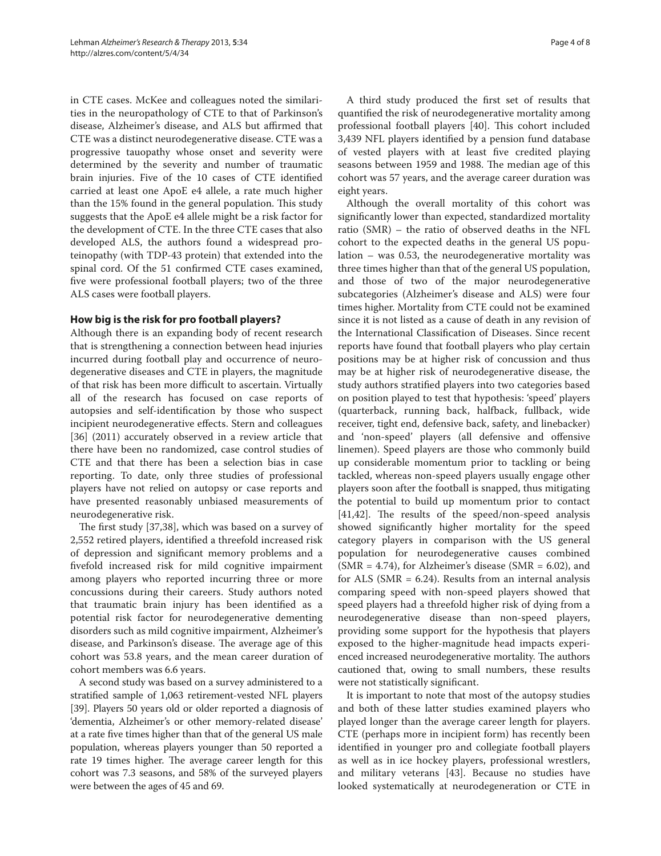in CTE cases. McKee and colleagues noted the similarities in the neuropathology of CTE to that of Parkinson's disease, Alzheimer's disease, and ALS but affirmed that CTE was a distinct neurodegenerative disease. CTE was a progressive tauopathy whose onset and severity were determined by the severity and number of traumatic brain injuries. Five of the 10 cases of CTE identified carried at least one ApoE e4 allele, a rate much higher than the 15% found in the general population. This study suggests that the ApoE e4 allele might be a risk factor for the development of CTE. In the three CTE cases that also developed ALS, the authors found a widespread proteinopathy (with TDP-43 protein) that extended into the spinal cord. Of the 51 confirmed CTE cases examined, five were professional football players; two of the three ALS cases were football players.

# **How big is the risk for pro football players?**

Although there is an expanding body of recent research that is strengthening a connection between head injuries incurred during football play and occurrence of neurodegenerative diseases and CTE in players, the magnitude of that risk has been more difficult to ascertain. Virtually all of the research has focused on case reports of autopsies and self-identification by those who suspect incipient neurodegenerative effects. Stern and colleagues [36] (2011) accurately observed in a review article that there have been no randomized, case control studies of CTE and that there has been a selection bias in case reporting. To date, only three studies of professional players have not relied on autopsy or case reports and have presented reasonably unbiased measurements of neurodegenerative risk.

The first study [37,38], which was based on a survey of 2,552 retired players, identified a threefold increased risk of depression and significant memory problems and a fivefold increased risk for mild cognitive impairment among players who reported incurring three or more concussions during their careers. Study authors noted that traumatic brain injury has been identified as a potential risk factor for neurodegenerative dementing disorders such as mild cognitive impairment, Alzheimer's disease, and Parkinson's disease. The average age of this cohort was 53.8 years, and the mean career duration of cohort members was 6.6 years.

A second study was based on a survey administered to a stratified sample of 1,063 retirement-vested NFL players [39]. Players 50 years old or older reported a diagnosis of 'dementia, Alzheimer's or other memory-related disease' at a rate five times higher than that of the general US male population, whereas players younger than 50 reported a rate 19 times higher. The average career length for this cohort was 7.3 seasons, and 58% of the surveyed players were between the ages of 45 and 69.

A third study produced the first set of results that quantified the risk of neurodegenerative mortality among professional football players [40]. This cohort included 3,439 NFL players identified by a pension fund database of vested players with at least five credited playing seasons between 1959 and 1988. The median age of this cohort was 57 years, and the average career duration was eight years.

Although the overall mortality of this cohort was significantly lower than expected, standardized mortality ratio (SMR) – the ratio of observed deaths in the NFL cohort to the expected deaths in the general US population  $-$  was 0.53, the neurodegenerative mortality was three times higher than that of the general US population, and those of two of the major neurodegenerative subcategories (Alzheimer's disease and ALS) were four times higher. Mortality from CTE could not be examined since it is not listed as a cause of death in any revision of the International Classification of Diseases. Since recent reports have found that football players who play certain positions may be at higher risk of concussion and thus may be at higher risk of neurodegenerative disease, the study authors stratified players into two categories based on position played to test that hypothesis: 'speed' players (quarterback, running back, halfback, fullback, wide receiver, tight end, defensive back, safety, and linebacker) and 'non-speed' players (all defensive and offensive linemen). Speed players are those who commonly build up considerable momentum prior to tackling or being tackled, whereas non-speed players usually engage other players soon after the football is snapped, thus mitigating the potential to build up momentum prior to contact  $[41,42]$ . The results of the speed/non-speed analysis showed significantly higher mortality for the speed category players in comparison with the US general population for neurodegenerative causes combined  $(SMR = 4.74)$ , for Alzheimer's disease  $(SMR = 6.02)$ , and for ALS (SMR  $= 6.24$ ). Results from an internal analysis comparing speed with non-speed players showed that speed players had a threefold higher risk of dying from a neurodegenerative disease than non-speed players, providing some support for the hypothesis that players exposed to the higher-magnitude head impacts experienced increased neurodegenerative mortality. The authors cautioned that, owing to small numbers, these results were not statistically significant.

It is important to note that most of the autopsy studies and both of these latter studies examined players who played longer than the average career length for players. CTE (perhaps more in incipient form) has recently been identified in younger pro and collegiate football players as well as in ice hockey players, professional wrestlers, and military veterans [43]. Because no studies have looked systematically at neurodegeneration or CTE in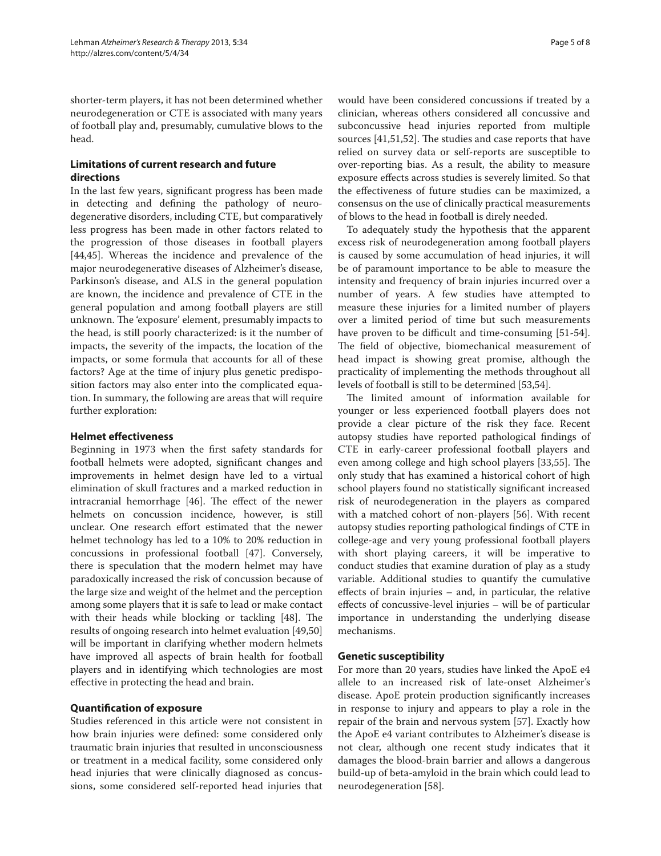shorter-term players, it has not been determined whether neurodegeneration or CTE is associated with many years of football play and, presumably, cumulative blows to the head.

# **Limitations of current research and future directions**

In the last few years, significant progress has been made in detecting and defining the pathology of neurodegenerative disorders, including CTE, but comparatively less progress has been made in other factors related to the progression of those diseases in football players [44,45]. Whereas the incidence and prevalence of the major neurodegenerative diseases of Alzheimer's disease, Parkinson's disease, and ALS in the general population are known, the incidence and prevalence of CTE in the general population and among football players are still unknown. The 'exposure' element, presumably impacts to the head, is still poorly characterized: is it the number of impacts, the severity of the impacts, the location of the impacts, or some formula that accounts for all of these factors? Age at the time of injury plus genetic predisposition factors may also enter into the complicated equation. In summary, the following are areas that will require further exploration:

# **Helmet effectiveness**

Beginning in 1973 when the first safety standards for football helmets were adopted, significant changes and improvements in helmet design have led to a virtual elimination of skull fractures and a marked reduction in intracranial hemorrhage  $[46]$ . The effect of the newer helmets on concussion incidence, however, is still unclear. One research effort estimated that the newer helmet technology has led to a 10% to 20% reduction in concussions in professional football [47]. Conversely, there is speculation that the modern helmet may have paradoxically increased the risk of concussion because of the large size and weight of the helmet and the perception among some players that it is safe to lead or make contact with their heads while blocking or tackling [48]. The results of ongoing research into helmet evaluation [49,50] will be important in clarifying whether modern helmets have improved all aspects of brain health for football players and in identifying which technologies are most effective in protecting the head and brain.

#### **Quantification of exposure**

Studies referenced in this article were not consistent in how brain injuries were defined: some considered only traumatic brain injuries that resulted in unconsciousness or treatment in a medical facility, some considered only head injuries that were clinically diagnosed as concussions, some considered self-reported head injuries that

would have been considered concussions if treated by a clinician, whereas others considered all concussive and subconcussive head injuries reported from multiple sources  $[41,51,52]$ . The studies and case reports that have relied on survey data or self-reports are susceptible to over-reporting bias. As a result, the ability to measure exposure effects across studies is severely limited. So that the effectiveness of future studies can be maximized, a consensus on the use of clinically practical measurements of blows to the head in football is direly needed.

To adequately study the hypothesis that the apparent excess risk of neurodegeneration among football players is caused by some accumulation of head injuries, it will be of paramount importance to be able to measure the intensity and frequency of brain injuries incurred over a number of years. A few studies have attempted to measure these injuries for a limited number of players over a limited period of time but such measurements have proven to be difficult and time-consuming [51-54]. The field of objective, biomechanical measurement of head impact is showing great promise, although the practicality of implementing the methods throughout all levels of football is still to be determined [53,54].

The limited amount of information available for younger or less experienced football players does not provide a clear picture of the risk they face. Recent autopsy studies have reported pathological findings of CTE in early-career professional football players and even among college and high school players [33,55]. The only study that has examined a historical cohort of high school players found no statistically significant increased risk of neurodegeneration in the players as compared with a matched cohort of non-players [56]. With recent autopsy studies reporting pathological findings of CTE in college-age and very young professional football players with short playing careers, it will be imperative to conduct studies that examine duration of play as a study variable. Additional studies to quantify the cumulative effects of brain injuries  $-$  and, in particular, the relative effects of concussive-level injuries - will be of particular importance in understanding the underlying disease mechanisms.

#### **Genetic susceptibility**

For more than 20 years, studies have linked the ApoE e4 allele to an increased risk of late-onset Alzheimer's disease. ApoE protein production significantly increases in response to injury and appears to play a role in the repair of the brain and nervous system [57]. Exactly how the ApoE e4 variant contributes to Alzheimer's disease is not clear, although one recent study indicates that it damages the blood-brain barrier and allows a dangerous build-up of beta-amyloid in the brain which could lead to neurodegeneration [58].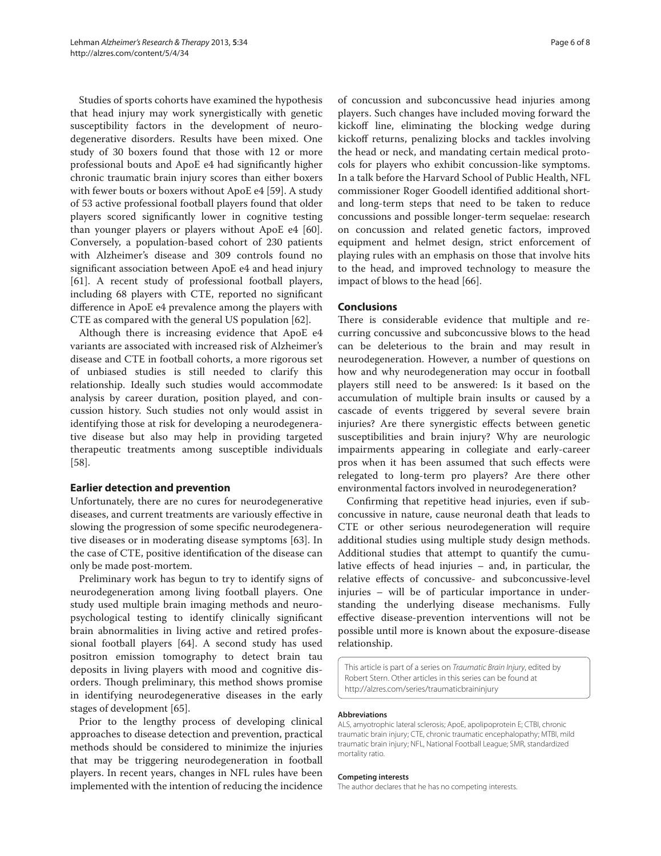Studies of sports cohorts have examined the hypothesis that head injury may work synergistically with genetic susceptibility factors in the development of neurodegenerative disorders. Results have been mixed. One study of 30 boxers found that those with 12 or more professional bouts and ApoE e4 had significantly higher chronic traumatic brain injury scores than either boxers with fewer bouts or boxers without ApoE e4 [59]. A study of 53 active professional football players found that older players scored significantly lower in cognitive testing than younger players or players without ApoE e4 [60]. Conversely, a population-based cohort of 230 patients with Alzheimer's disease and 309 controls found no significant association between ApoE e4 and head injury [61]. A recent study of professional football players, including 68 players with CTE, reported no significant difference in ApoE e4 prevalence among the players with CTE as compared with the general US population [62].

Although there is increasing evidence that ApoE e4 variants are associated with increased risk of Alzheimer's disease and CTE in football cohorts, a more rigorous set of unbiased studies is still needed to clarify this relationship. Ideally such studies would accommodate analysis by career duration, position played, and concussion history. Such studies not only would assist in identifying those at risk for developing a neurodegenerative disease but also may help in providing targeted therapeutic treatments among susceptible individuals [58].

#### **Earlier detection and prevention**

Unfortunately, there are no cures for neurodegenerative diseases, and current treatments are variously effective in slowing the progression of some specific neurodegenerative diseases or in moderating disease symptoms [63]. In the case of CTE, positive identification of the disease can only be made post-mortem.

Preliminary work has begun to try to identify signs of neurodegeneration among living football players. One study used multiple brain imaging methods and neuropsychological testing to identify clinically significant brain abnormalities in living active and retired professional football players [64]. A second study has used positron emission tomography to detect brain tau deposits in living players with mood and cognitive disorders. Though preliminary, this method shows promise in identifying neurodegenerative diseases in the early stages of development [65].

Prior to the lengthy process of developing clinical approaches to disease detection and prevention, practical methods should be considered to minimize the injuries that may be triggering neurodegeneration in football players. In recent years, changes in NFL rules have been implemented with the intention of reducing the incidence of concussion and subconcussive head injuries among players. Such changes have included moving forward the kickoff line, eliminating the blocking wedge during kickoff returns, penalizing blocks and tackles involving the head or neck, and mandating certain medical protocols for players who exhibit concussion-like symptoms. In a talk before the Harvard School of Public Health, NFL commissioner Roger Goodell identified additional shortand long-term steps that need to be taken to reduce concussions and possible longer-term sequelae: research on concussion and related genetic factors, improved equipment and helmet design, strict enforcement of playing rules with an emphasis on those that involve hits to the head, and improved technology to measure the impact of blows to the head [66].

#### **Conclusions**

There is considerable evidence that multiple and recurring concussive and subconcussive blows to the head can be deleterious to the brain and may result in neurodegeneration. However, a number of questions on how and why neurodegeneration may occur in football players still need to be answered: Is it based on the accumulation of multiple brain insults or caused by a cascade of events triggered by several severe brain injuries? Are there synergistic effects between genetic susceptibilities and brain injury? Why are neurologic impairments appearing in collegiate and early-career pros when it has been assumed that such effects were relegated to long-term pro players? Are there other environmental factors involved in neurodegeneration?

Confirming that repetitive head injuries, even if subconcussive in nature, cause neuronal death that leads to CTE or other serious neurodegeneration will require additional studies using multiple study design methods. Additional studies that attempt to quantify the cumulative effects of head injuries  $-$  and, in particular, the relative effects of concussive- and subconcussive-level injuries – will be of particular importance in understanding the underlying disease mechanisms. Fully effective disease-prevention interventions will not be possible until more is known about the exposure-disease relationship.

This article is part of a series on Traumatic Brain Injury, edited by Robert Stern. Other articles in this series can be found at http://alzres.com/series/traumaticbraininjury

#### **Abbreviations**

ALS, amyotrophic lateral sclerosis; ApoE, apolipoprotein E; CTBI, chronic traumatic brain injury; CTE, chronic traumatic encephalopathy; MTBI, mild traumatic brain injury; NFL, National Football League; SMR, standardized mortality ratio.

#### **Competing interests**

The author declares that he has no competing interests.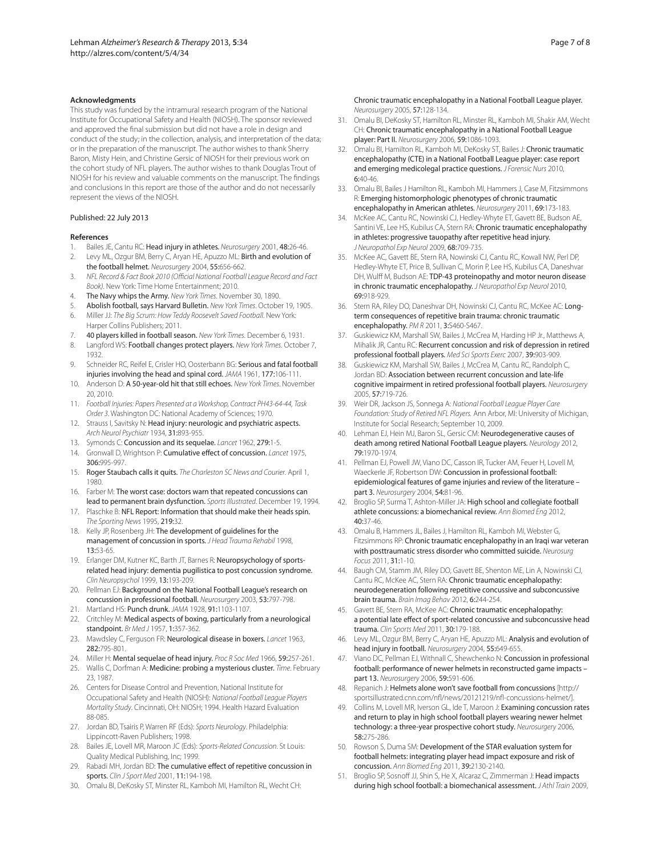#### **Acknowledgments**

This study was funded by the intramural research program of the National Institute for Occupational Safety and Health (NIOSH). The sponsor reviewed and approved the final submission but did not have a role in design and conduct of the study; in the collection, analysis, and interpretation of the data; or in the preparation of the manuscript. The author wishes to thank Sherry Baron, Misty Hein, and Christine Gersic of NIOSH for their previous work on the cohort study of NFL players. The author wishes to thank Douglas Trout of NIOSH for his review and valuable comments on the manuscript. The findings and conclusions in this report are those of the author and do not necessarily represent the views of the NIOSH.

#### Published: 22 July 2013

#### **References**

- 1. Bailes JE, Cantu RC: Head injury in athletes. Neurosurgery 2001, 48:26-46. 2. Levy ML, Ozgur BM, Berry C, Aryan HE, Apuzzo ML: Birth and evolution of the football helmet. Neurosurgery 2004, 55:656-662.
- 3. NFL Record & Fact Book 2010 (Official National Football League Record and Fact Book). New York: Time Home Entertainment; 2010.
- 4. The Navy whips the Army. New York Times. November 30, 1890.
- 5. Abolish football, says Harvard Bulletin. New York Times. October 19, 1905.
- 6. Miller JJ: The Big Scrum: How Teddy Roosevelt Saved Football. New York: Harper Collins Publishers; 2011.
- 7. 40 players killed in football season. New York Times. December 6, 1931.
- 8. Langford WS: Football changes protect players. New York Times. October 7, 1932.
- 9. Schneider RC, Reifel E, Crisler HO, Oosterbann BG: Serious and fatal football injuries involving the head and spinal cord. JAMA 1961, 177:106-111.
- 10. Anderson D: A 50-year-old hit that still echoes. New York Times. November 20, 2010.
- 11. Football Injuries: Papers Presented at a Workshop, Contract PH43-64-44, Task Order 3. Washington DC: National Academy of Sciences; 1970.
- 12. Strauss I, Savitsky N: Head injury: neurologic and psychiatric aspects. Arch Neurol Psychiatr 1934, 31:893-955.
- 13. Symonds C: Concussion and its sequelae. Lancet 1962, 279:1-5.
- 14. Gronwall D, Wrightson P: Cumulative effect of concussion. Lancet 1975, 306:995-997.
- 15. Roger Staubach calls it quits. The Charleston SC News and Courier. April 1, 1980.
- 16. Farber M: The worst case: doctors warn that repeated concussions can lead to permanent brain dysfunction. Sports Illustrated. December 19, 1994.
- 17. Plaschke B: NEL Report: Information that should make their heads spin. The Sporting News 1995, 219:32.
- 18. Kelly JP, Rosenberg JH: The development of quidelines for the management of concussion in sports. J Head Trauma Rehabil 1998, 13:53-65.
- 19. Erlanger DM, Kutner KC, Barth JT, Barnes R: Neuropsychology of sportsrelated head injury: dementia pugilistica to post concussion syndrome. Clin Neuropsychol 1999, 13:193-209.
- 20. Pellman EJ: Background on the National Football League's research on concussion in professional football. Neurosurgery 2003, 53:797-798.
- 21. Martland HS: Punch drunk. JAMA 1928, 91:1103-1107.
- 22. Critchley M: Medical aspects of boxing, particularly from a neurological standpoint. Br Med J 1957, 1:357-362.
- 23. Mawdsley C, Ferguson FR: Neurological disease in boxers. Lancet 1963, 282:795-801.
- 24. Miller H: Mental sequelae of head injury. Proc R Soc Med 1966, 59:257-261.
- 25. Wallis C, Dorfman A: Medicine: probing a mysterious cluster. Time. February 23, 1987.
- 26. Centers for Disease Control and Prevention, National Institute for Occupational Safety and Health (NIOSH): National Football League Players Mortality Study. Cincinnati, OH: NIOSH; 1994. Health Hazard Evaluation 88-085.
- 27. Jordan BD, Tsairis P, Warren RF (Eds): Sports Neurology. Philadelphia: Lippincott-Raven Publishers; 1998.
- 28. Bailes JE, Lovell MR, Maroon JC (Eds): Sports-Related Concussion. St Louis: Quality Medical Publishing, Inc; 1999.
- 29. Rabadi MH, Jordan BD: The cumulative effect of repetitive concussion in sports. Clin J Sport Med 2001, 11:194-198.
- 30. Omalu BI, DeKosky ST, Minster RL, Kamboh MI, Hamilton RL, Wecht CH:

Chronic traumatic encephalopathy in a National Football League player. Neurosurgery 2005, 57:128-134.

- 31. Omalu BI, DeKosky ST, Hamilton RL, Minster RL, Kamboh MI, Shakir AM, Wecht CH: Chronic traumatic encephalopathy in a National Football League player: Part II. Neurosurgery 2006, 59:1086-1093.
- 32. Omalu BI, Hamilton RL, Kamboh MI, DeKosky ST, Bailes J: Chronic traumatic encephalopathy (CTE) in a National Football League player: case report and emerging medicolegal practice questions. J Forensic Nurs 2010, 6:40-46.
- 33. Omalu BI, Bailes J Hamilton RL, Kamboh MI, Hammers J, Case M, Fitzsimmons R: Emerging histomorphologic phenotypes of chronic traumatic encephalopathy in American athletes. Neurosurgery 2011, 69:173-183.
- 34. McKee AC, Cantu RC, Nowinski CJ, Hedley-Whyte ET, Gavett BE, Budson AE, Santini VE, Lee HS, Kubilus CA, Stern RA: Chronic traumatic encephalopathy in athletes: progressive tauopathy after repetitive head injury. J Neuropathol Exp Neurol 2009, 68:709-735.
- 35. McKee AC, Gavett BE, Stern RA, Nowinski CJ, Cantu RC, Kowall NW, Perl DP, Hedley-Whyte ET, Price B, Sullivan C, Morin P, Lee HS, Kubilus CA, Daneshvar DH, Wulff M, Budson AE: TDP-43 proteinopathy and motor neuron disease in chronic traumatic encephalopathy. J Neuropathol Exp Neurol 2010, 69:918-929.
- 36. Stern RA, Riley DO, Daneshvar DH, Nowinski CJ, Cantu RC, McKee AC: Longterm consequences of repetitive brain trauma: chronic traumatic encephalopathy. PM R 2011, 3:S460-S467.
- 37. Guskiewicz KM, Marshall SW, Bailes J, McCrea M, Harding HP Jr., Matthews A, Mihalik JR, Cantu RC: Recurrent concussion and risk of depression in retired professional football players. Med Sci Sports Exerc 2007, 39:903-909.
- 38. Guskiewicz KM, Marshall SW, Bailes J, McCrea M, Cantu RC, Randolph C, Jordan BD: Association between recurrent concussion and late-life cognitive impairment in retired professional football players. Neurosurgery 2005, 57:719-726.
- 39. Weir DR, Jackson JS, Sonnega A: National Football League Player Care Foundation: Study of Retired NFL Players. Ann Arbor, MI: University of Michigan, Institute for Social Research; September 10, 2009.
- 40. Lehman EJ, Hein MJ, Baron SL, Gersic CM: Neurodegenerative causes of death among retired National Football League players. Neurology 2012, 79:1970-1974.
- 41. Pellman EJ, Powell JW, Viano DC, Casson IR, Tucker AM, Feuer H, Lovell M, Waeckerle JF, Robertson DW: Concussion in professional football: epidemiological features of game injuries and review of the literature – part 3. Neurosurgery 2004, 54:81-96.
- 42. Broglio SP, Surma T, Ashton-Miller JA: High school and collegiate football athlete concussions: a biomechanical review. Ann Biomed Eng 2012, 40:37-46.
- 43. Omalu B, Hammers JL, Bailes J, Hamilton RL, Kamboh MI, Webster G, Fitzsimmons RP: Chronic traumatic encephalopathy in an Iraqi war veteran with posttraumatic stress disorder who committed suicide. Neurosurg Focus 2011, 31:1-10.
- Baugh CM, Stamm JM, Riley DO, Gavett BE, Shenton ME, Lin A, Nowinski CJ, Cantu RC, McKee AC, Stern RA: Chronic traumatic encephalopathy: neurodegeneration following repetitive concussive and subconcussive brain trauma. Brain Imag Behav 2012, 6:244-254.
- 45. Gavett BE, Stern RA, McKee AC: Chronic traumatic encephalopathy: a potential late effect of sport-related concussive and subconcussive head trauma. Clin Sports Med 2011, 30:179-188.
- 46. Levy ML, Ozgur BM, Berry C, Aryan HE, Apuzzo ML: Analysis and evolution of head injury in football. Neurosurgery 2004, 55:649-655.
- 47. Viano DC, Pellman EJ, Withnall C, Shewchenko N: Concussion in professional football: performance of newer helmets in reconstructed game impacts – part 13. Neurosurgery 2006, 59:591-606.
- 48. Repanich J: Helmets alone won't save football from concussions [http:// sportsillustrated.cnn.com/nfl/news/20121219/nfl-concussions-helmet/J.
- 49. Collins M, Lovell MR, Iverson GL, Ide T, Maroon J: Examining concussion rates and return to play in high school football players wearing newer helmet technology: a three-year prospective cohort study. Neurosurgery 2006, 58:275-286.
- 50. Rowson S, Duma SM: Development of the STAR evaluation system for football helmets: integrating player head impact exposure and risk of concussion. Ann Biomed Eng 2011, 39:2130-2140.
- 51. Broglio SP, Sosnoff JJ, Shin S, He X, Alcaraz C, Zimmerman J: Head impacts during high school football: a biomechanical assessment. J Athl Train 2009,